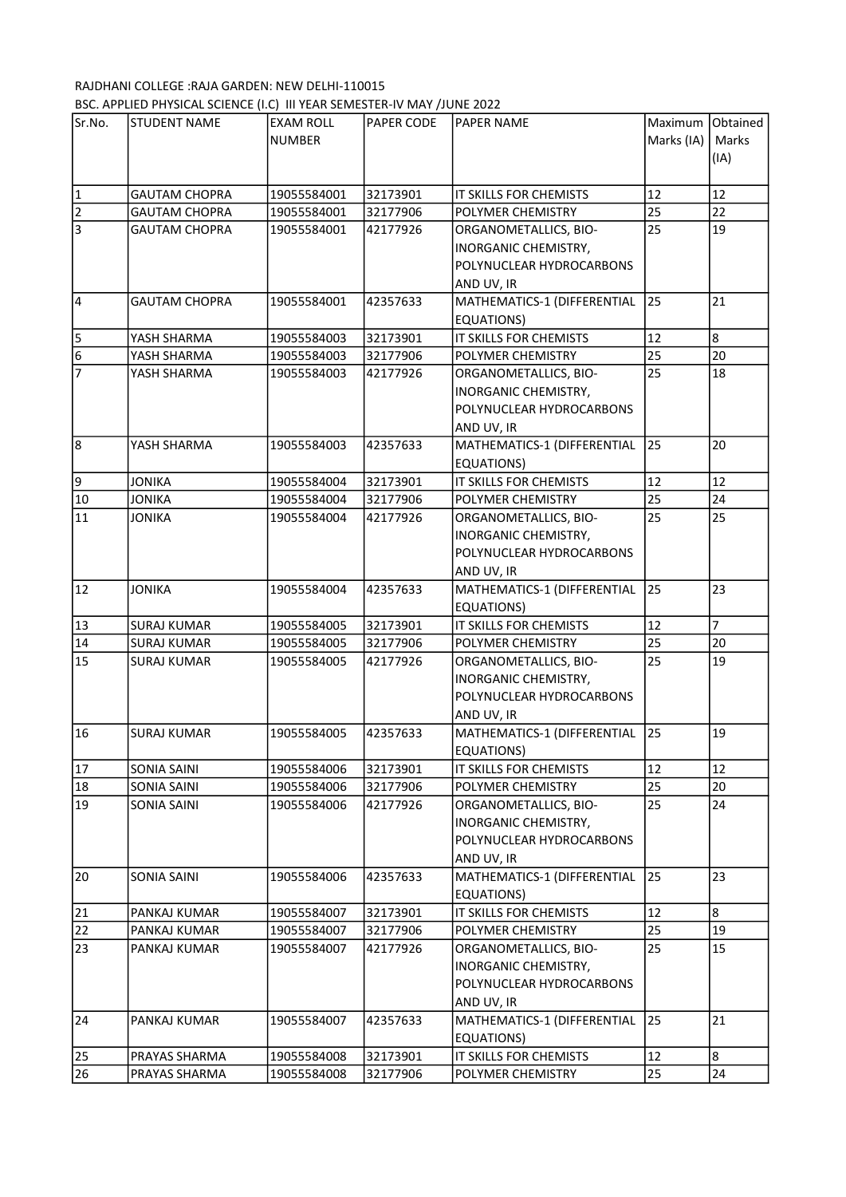## RAJDHANI COLLEGE :RAJA GARDEN: NEW DELHI-110015 BSC. APPLIED PHYSICAL SCIENCE (I.C) III YEAR SEMESTER-IV MAY /JUNE 2022

| Sr.No.          | <b>STUDENT NAME</b>  | <b>EXAM ROLL</b> | PAPER CODE | <b>PAPER NAME</b>                                       | Maximum Obtained |                      |
|-----------------|----------------------|------------------|------------|---------------------------------------------------------|------------------|----------------------|
|                 |                      | <b>NUMBER</b>    |            |                                                         | Marks (IA)       | Marks                |
|                 |                      |                  |            |                                                         |                  | (IA)                 |
|                 |                      |                  |            |                                                         |                  |                      |
| $\vert$ 1       | <b>GAUTAM CHOPRA</b> | 19055584001      | 32173901   | IT SKILLS FOR CHEMISTS                                  | 12               | 12                   |
| $\overline{2}$  | <b>GAUTAM CHOPRA</b> | 19055584001      | 32177906   | POLYMER CHEMISTRY                                       | 25               | 22                   |
| l3              | <b>GAUTAM CHOPRA</b> | 19055584001      | 42177926   | ORGANOMETALLICS, BIO-                                   | 25               | 19                   |
|                 |                      |                  |            | INORGANIC CHEMISTRY,                                    |                  |                      |
|                 |                      |                  |            | POLYNUCLEAR HYDROCARBONS                                |                  |                      |
|                 |                      |                  |            | AND UV, IR                                              |                  |                      |
| $\overline{4}$  | <b>GAUTAM CHOPRA</b> | 19055584001      | 42357633   | MATHEMATICS-1 (DIFFERENTIAL                             | 25               | 21                   |
|                 |                      |                  |            | EQUATIONS)                                              |                  |                      |
| 5               | YASH SHARMA          | 19055584003      | 32173901   | IT SKILLS FOR CHEMISTS                                  | 12               | 8                    |
| $6\phantom{.}6$ | YASH SHARMA          | 19055584003      | 32177906   | POLYMER CHEMISTRY                                       | 25               | 20                   |
| $\overline{7}$  | YASH SHARMA          | 19055584003      | 42177926   | ORGANOMETALLICS, BIO-                                   | 25               | 18                   |
|                 |                      |                  |            | INORGANIC CHEMISTRY,                                    |                  |                      |
|                 |                      |                  |            | POLYNUCLEAR HYDROCARBONS                                |                  |                      |
|                 |                      |                  |            | AND UV, IR                                              |                  |                      |
| 8               | YASH SHARMA          | 19055584003      | 42357633   | MATHEMATICS-1 (DIFFERENTIAL                             | 25               | 20                   |
|                 |                      |                  |            | EQUATIONS)                                              |                  |                      |
| و               | <b>JONIKA</b>        | 19055584004      | 32173901   | IT SKILLS FOR CHEMISTS                                  | 12               | 12                   |
| $10\,$          | <b>JONIKA</b>        | 19055584004      | 32177906   | POLYMER CHEMISTRY                                       | 25               | 24                   |
| 11              | <b>JONIKA</b>        | 19055584004      | 42177926   | ORGANOMETALLICS, BIO-                                   | 25               | 25                   |
|                 |                      |                  |            | INORGANIC CHEMISTRY,                                    |                  |                      |
|                 |                      |                  |            | POLYNUCLEAR HYDROCARBONS                                |                  |                      |
|                 |                      |                  |            | AND UV, IR                                              |                  |                      |
| 12              | <b>JONIKA</b>        | 19055584004      | 42357633   | MATHEMATICS-1 (DIFFERENTIAL                             | 25               | 23                   |
|                 |                      |                  |            | EQUATIONS)                                              |                  |                      |
| 13              | <b>SURAJ KUMAR</b>   | 19055584005      | 32173901   | IT SKILLS FOR CHEMISTS                                  | 12               | $\overline{7}$<br>20 |
| 14              | <b>SURAJ KUMAR</b>   | 19055584005      | 32177906   | POLYMER CHEMISTRY                                       | 25               |                      |
| 15              | <b>SURAJ KUMAR</b>   | 19055584005      | 42177926   | ORGANOMETALLICS, BIO-                                   | 25               | 19                   |
|                 |                      |                  |            | <b>INORGANIC CHEMISTRY,</b><br>POLYNUCLEAR HYDROCARBONS |                  |                      |
|                 |                      |                  |            |                                                         |                  |                      |
| 16              | <b>SURAJ KUMAR</b>   | 19055584005      | 42357633   | AND UV, IR<br>MATHEMATICS-1 (DIFFERENTIAL               | 25               | 19                   |
|                 |                      |                  |            | EQUATIONS)                                              |                  |                      |
| 17              | SONIA SAINI          | 19055584006      | 32173901   | IT SKILLS FOR CHEMISTS                                  | 12               | 12                   |
| 18              | SONIA SAINI          | 19055584006      | 32177906   | POLYMER CHEMISTRY                                       | 25               | 20                   |
| 19              | SONIA SAINI          | 19055584006      | 42177926   | ORGANOMETALLICS, BIO-                                   | 25               | 24                   |
|                 |                      |                  |            | INORGANIC CHEMISTRY,                                    |                  |                      |
|                 |                      |                  |            | POLYNUCLEAR HYDROCARBONS                                |                  |                      |
|                 |                      |                  |            | AND UV, IR                                              |                  |                      |
| 20              | <b>SONIA SAINI</b>   | 19055584006      | 42357633   | MATHEMATICS-1 (DIFFERENTIAL                             | 25               | 23                   |
|                 |                      |                  |            | EQUATIONS)                                              |                  |                      |
| 21              | PANKAJ KUMAR         | 19055584007      | 32173901   | IT SKILLS FOR CHEMISTS                                  | 12               | 8                    |
| 22              | PANKAJ KUMAR         | 19055584007      | 32177906   | POLYMER CHEMISTRY                                       | 25               | 19                   |
| 23              | PANKAJ KUMAR         | 19055584007      | 42177926   | ORGANOMETALLICS, BIO-                                   | 25               | 15                   |
|                 |                      |                  |            | INORGANIC CHEMISTRY,                                    |                  |                      |
|                 |                      |                  |            | POLYNUCLEAR HYDROCARBONS                                |                  |                      |
|                 |                      |                  |            | AND UV, IR                                              |                  |                      |
| 24              | PANKAJ KUMAR         | 19055584007      | 42357633   | MATHEMATICS-1 (DIFFERENTIAL                             | 25               | 21                   |
|                 |                      |                  |            | EQUATIONS)                                              |                  |                      |
| 25              | PRAYAS SHARMA        | 19055584008      | 32173901   | IT SKILLS FOR CHEMISTS                                  | 12               | 8                    |
| 26              | PRAYAS SHARMA        | 19055584008      | 32177906   | POLYMER CHEMISTRY                                       | 25               | 24                   |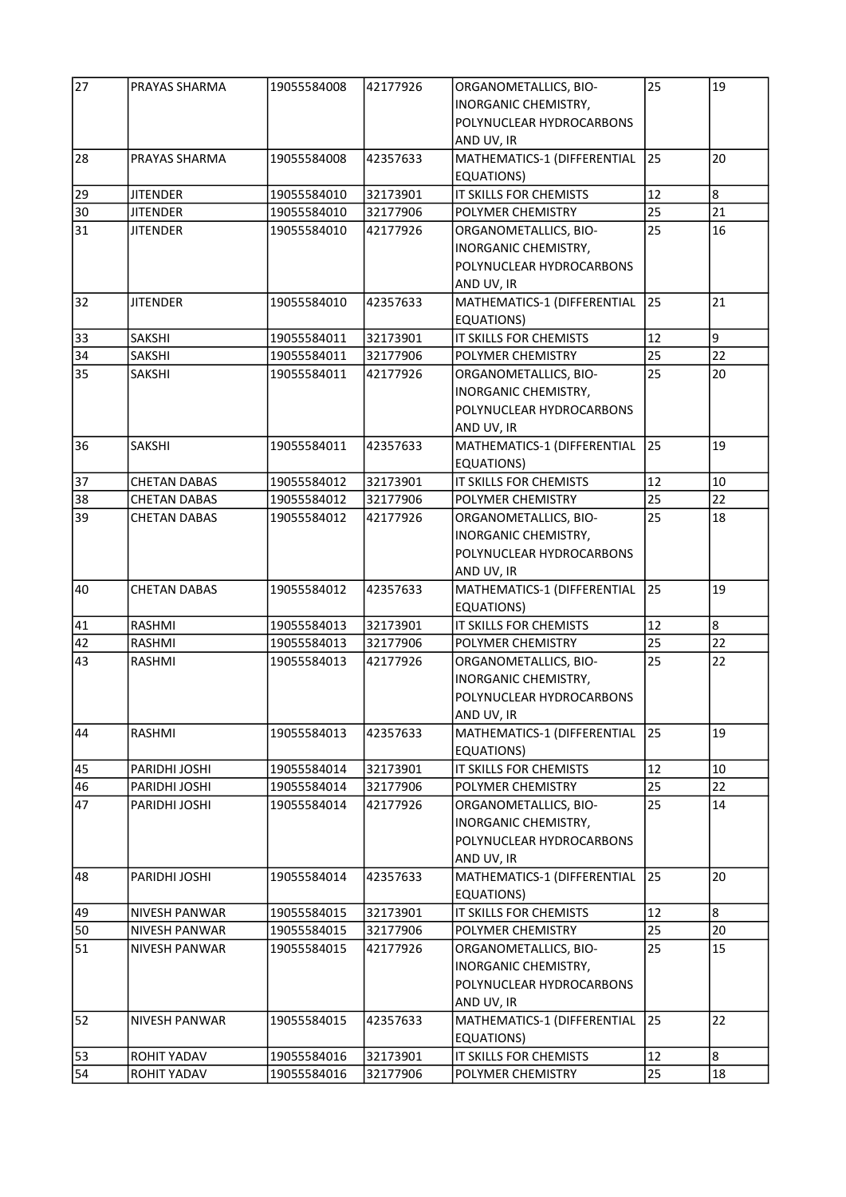| 27       | PRAYAS SHARMA                      | 19055584008 | 42177926 | ORGANOMETALLICS, BIO-<br>INORGANIC CHEMISTRY,<br>POLYNUCLEAR HYDROCARBONS               | 25       | 19 |
|----------|------------------------------------|-------------|----------|-----------------------------------------------------------------------------------------|----------|----|
| 28       | <b>PRAYAS SHARMA</b>               | 19055584008 | 42357633 | AND UV, IR<br>MATHEMATICS-1 (DIFFERENTIAL                                               | 25       | 20 |
|          |                                    |             |          | EQUATIONS)                                                                              | 12       | 8  |
| 29       | <b>JITENDER</b>                    | 19055584010 | 32173901 | IT SKILLS FOR CHEMISTS                                                                  |          | 21 |
| 30<br>31 | <b>JITENDER</b><br><b>JITENDER</b> | 19055584010 | 32177906 | POLYMER CHEMISTRY                                                                       | 25<br>25 | 16 |
|          |                                    | 19055584010 | 42177926 | ORGANOMETALLICS, BIO-<br>INORGANIC CHEMISTRY,<br>POLYNUCLEAR HYDROCARBONS<br>AND UV, IR |          |    |
| 32       | <b>JITENDER</b>                    | 19055584010 | 42357633 | MATHEMATICS-1 (DIFFERENTIAL<br><b>EQUATIONS)</b>                                        | 25       | 21 |
| 33       | <b>SAKSHI</b>                      | 19055584011 | 32173901 | IT SKILLS FOR CHEMISTS                                                                  | 12       | 9  |
| 34       | <b>SAKSHI</b>                      | 19055584011 | 32177906 | POLYMER CHEMISTRY                                                                       | 25       | 22 |
| 35       | <b>SAKSHI</b>                      | 19055584011 | 42177926 | ORGANOMETALLICS, BIO-<br>INORGANIC CHEMISTRY,<br>POLYNUCLEAR HYDROCARBONS<br>AND UV, IR | 25       | 20 |
| 36       | <b>SAKSHI</b>                      | 19055584011 | 42357633 | MATHEMATICS-1 (DIFFERENTIAL<br><b>EQUATIONS)</b>                                        | 25       | 19 |
| 37       | <b>CHETAN DABAS</b>                | 19055584012 | 32173901 | IT SKILLS FOR CHEMISTS                                                                  | 12       | 10 |
| 38       | <b>CHETAN DABAS</b>                | 19055584012 | 32177906 | POLYMER CHEMISTRY                                                                       | 25       | 22 |
| 39       | <b>CHETAN DABAS</b>                | 19055584012 | 42177926 | ORGANOMETALLICS, BIO-<br>INORGANIC CHEMISTRY,<br>POLYNUCLEAR HYDROCARBONS<br>AND UV, IR | 25       | 18 |
| 40       | <b>CHETAN DABAS</b>                | 19055584012 | 42357633 | MATHEMATICS-1 (DIFFERENTIAL<br>EQUATIONS)                                               | 25       | 19 |
| 41       | RASHMI                             | 19055584013 | 32173901 | IT SKILLS FOR CHEMISTS                                                                  | 12       | 8  |
| 42       | RASHMI                             | 19055584013 | 32177906 | POLYMER CHEMISTRY                                                                       | 25       | 22 |
| 43       | RASHMI                             | 19055584013 | 42177926 | ORGANOMETALLICS, BIO-<br>INORGANIC CHEMISTRY,<br>POLYNUCLEAR HYDROCARBONS<br>AND UV, IR | 25       | 22 |
| 44       | RASHMI                             | 19055584013 | 42357633 | MATHEMATICS-1 (DIFFERENTIAL<br>EQUATIONS)                                               | 25       | 19 |
| 45       | PARIDHI JOSHI                      | 19055584014 | 32173901 | IT SKILLS FOR CHEMISTS                                                                  | 12       | 10 |
| 46       | PARIDHI JOSHI                      | 19055584014 | 32177906 | POLYMER CHEMISTRY                                                                       | 25       | 22 |
| 47       | PARIDHI JOSHI                      | 19055584014 | 42177926 | ORGANOMETALLICS, BIO-<br>INORGANIC CHEMISTRY,<br>POLYNUCLEAR HYDROCARBONS<br>AND UV, IR | 25       | 14 |
| 48       | PARIDHI JOSHI                      | 19055584014 | 42357633 | MATHEMATICS-1 (DIFFERENTIAL<br>EQUATIONS)                                               | 25       | 20 |
| 49       | NIVESH PANWAR                      | 19055584015 | 32173901 | IT SKILLS FOR CHEMISTS                                                                  | 12       | 8  |
| 50       | NIVESH PANWAR                      | 19055584015 | 32177906 | POLYMER CHEMISTRY                                                                       | 25       | 20 |
| 51       | NIVESH PANWAR                      | 19055584015 | 42177926 | ORGANOMETALLICS, BIO-<br>INORGANIC CHEMISTRY,<br>POLYNUCLEAR HYDROCARBONS<br>AND UV, IR | 25       | 15 |
| 52       | <b>NIVESH PANWAR</b>               | 19055584015 | 42357633 | MATHEMATICS-1 (DIFFERENTIAL<br>EQUATIONS)                                               | 25       | 22 |
| 53       | ROHIT YADAV                        | 19055584016 | 32173901 | IT SKILLS FOR CHEMISTS                                                                  | 12       | 8  |
| 54       | ROHIT YADAV                        | 19055584016 | 32177906 | POLYMER CHEMISTRY                                                                       | 25       | 18 |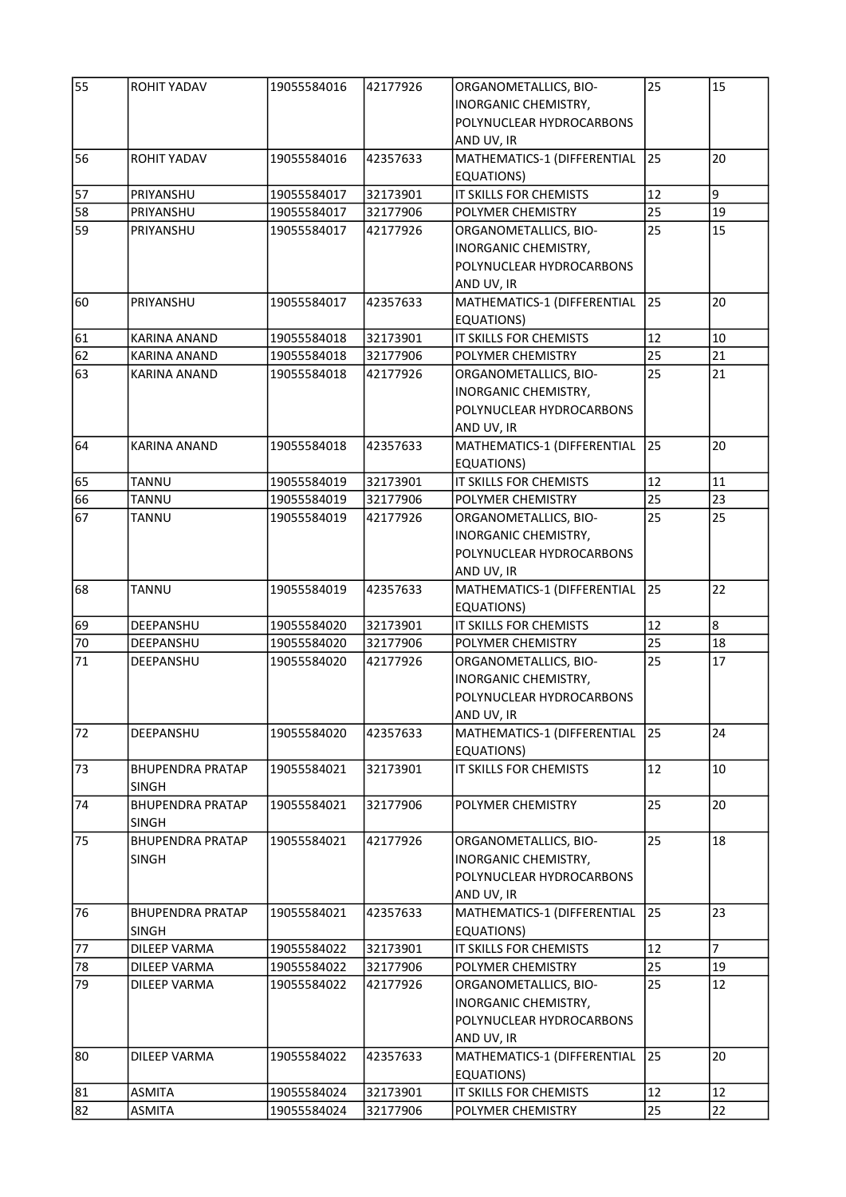| 55 | <b>ROHIT YADAV</b>                      | 19055584016 | 42177926 | ORGANOMETALLICS, BIO-<br>INORGANIC CHEMISTRY,<br>POLYNUCLEAR HYDROCARBONS                      | 25 | 15             |
|----|-----------------------------------------|-------------|----------|------------------------------------------------------------------------------------------------|----|----------------|
| 56 | <b>ROHIT YADAV</b>                      | 19055584016 | 42357633 | AND UV, IR<br>MATHEMATICS-1 (DIFFERENTIAL                                                      | 25 | 20             |
|    |                                         |             |          | EQUATIONS)                                                                                     |    |                |
| 57 | PRIYANSHU                               | 19055584017 | 32173901 | IT SKILLS FOR CHEMISTS                                                                         | 12 | 9              |
| 58 | PRIYANSHU                               | 19055584017 | 32177906 | POLYMER CHEMISTRY                                                                              | 25 | 19             |
| 59 | PRIYANSHU                               | 19055584017 | 42177926 | ORGANOMETALLICS, BIO-<br>INORGANIC CHEMISTRY,<br>POLYNUCLEAR HYDROCARBONS<br>AND UV, IR        | 25 | 15             |
| 60 | PRIYANSHU                               | 19055584017 | 42357633 | MATHEMATICS-1 (DIFFERENTIAL<br>EQUATIONS)                                                      | 25 | 20             |
| 61 | KARINA ANAND                            | 19055584018 | 32173901 | IT SKILLS FOR CHEMISTS                                                                         | 12 | 10             |
| 62 | <b>KARINA ANAND</b>                     | 19055584018 | 32177906 | POLYMER CHEMISTRY                                                                              | 25 | 21             |
| 63 | <b>KARINA ANAND</b>                     | 19055584018 | 42177926 | ORGANOMETALLICS, BIO-<br><b>INORGANIC CHEMISTRY,</b><br>POLYNUCLEAR HYDROCARBONS<br>AND UV, IR | 25 | 21             |
| 64 | <b>KARINA ANAND</b>                     | 19055584018 | 42357633 | MATHEMATICS-1 (DIFFERENTIAL<br><b>EQUATIONS)</b>                                               | 25 | 20             |
| 65 | TANNU                                   | 19055584019 | 32173901 | IT SKILLS FOR CHEMISTS                                                                         | 12 | 11             |
| 66 | <b>TANNU</b>                            | 19055584019 | 32177906 | POLYMER CHEMISTRY                                                                              | 25 | 23             |
| 67 | <b>TANNU</b>                            | 19055584019 | 42177926 | ORGANOMETALLICS, BIO-<br>INORGANIC CHEMISTRY,<br>POLYNUCLEAR HYDROCARBONS<br>AND UV, IR        | 25 | 25             |
| 68 | <b>TANNU</b>                            | 19055584019 | 42357633 | MATHEMATICS-1 (DIFFERENTIAL<br><b>EQUATIONS)</b>                                               | 25 | 22             |
| 69 | DEEPANSHU                               | 19055584020 | 32173901 | IT SKILLS FOR CHEMISTS                                                                         | 12 | 8              |
| 70 | DEEPANSHU                               | 19055584020 | 32177906 | POLYMER CHEMISTRY                                                                              | 25 | 18             |
| 71 | DEEPANSHU                               | 19055584020 | 42177926 | ORGANOMETALLICS, BIO-<br>INORGANIC CHEMISTRY,<br>POLYNUCLEAR HYDROCARBONS<br>AND UV, IR        | 25 | 17             |
| 72 | DEEPANSHU                               | 19055584020 | 42357633 | MATHEMATICS-1 (DIFFERENTIAL<br><b>EQUATIONS)</b>                                               | 25 | 24             |
| 73 | <b>BHUPENDRA PRATAP</b><br><b>SINGH</b> | 19055584021 | 32173901 | IT SKILLS FOR CHEMISTS                                                                         | 12 | 10             |
| 74 | <b>BHUPENDRA PRATAP</b><br><b>SINGH</b> | 19055584021 | 32177906 | POLYMER CHEMISTRY                                                                              | 25 | 20             |
| 75 | <b>BHUPENDRA PRATAP</b><br><b>SINGH</b> | 19055584021 | 42177926 | ORGANOMETALLICS, BIO-<br><b>INORGANIC CHEMISTRY,</b><br>POLYNUCLEAR HYDROCARBONS<br>AND UV, IR | 25 | 18             |
| 76 | BHUPENDRA PRATAP<br><b>SINGH</b>        | 19055584021 | 42357633 | MATHEMATICS-1 (DIFFERENTIAL<br>EQUATIONS)                                                      | 25 | 23             |
| 77 | DILEEP VARMA                            | 19055584022 | 32173901 | IT SKILLS FOR CHEMISTS                                                                         | 12 | $\overline{7}$ |
| 78 | DILEEP VARMA                            | 19055584022 | 32177906 | POLYMER CHEMISTRY                                                                              | 25 | 19             |
| 79 | DILEEP VARMA                            | 19055584022 | 42177926 | ORGANOMETALLICS, BIO-<br>INORGANIC CHEMISTRY,<br>POLYNUCLEAR HYDROCARBONS<br>AND UV, IR        | 25 | 12             |
| 80 | <b>DILEEP VARMA</b>                     | 19055584022 | 42357633 | MATHEMATICS-1 (DIFFERENTIAL<br>EQUATIONS)                                                      | 25 | 20             |
| 81 | <b>ASMITA</b>                           | 19055584024 | 32173901 | IT SKILLS FOR CHEMISTS                                                                         | 12 | 12             |
| 82 | ASMITA                                  | 19055584024 | 32177906 | POLYMER CHEMISTRY                                                                              | 25 | 22             |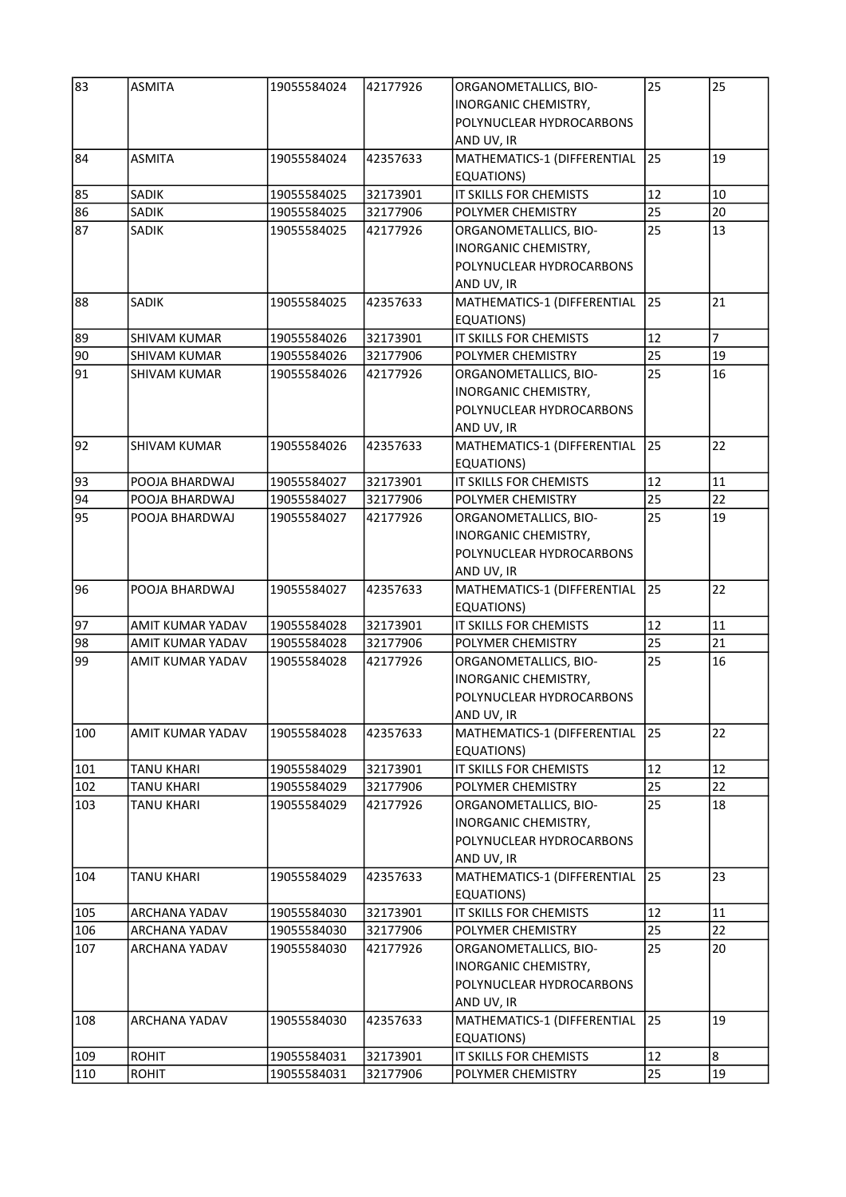| 83  | <b>ASMITA</b>       | 19055584024 | 42177926 | ORGANOMETALLICS, BIO-<br><b>INORGANIC CHEMISTRY,</b><br>POLYNUCLEAR HYDROCARBONS<br>AND UV, IR | 25 | 25             |
|-----|---------------------|-------------|----------|------------------------------------------------------------------------------------------------|----|----------------|
| 84  | <b>ASMITA</b>       | 19055584024 | 42357633 | MATHEMATICS-1 (DIFFERENTIAL<br>EQUATIONS)                                                      | 25 | 19             |
| 85  | <b>SADIK</b>        | 19055584025 | 32173901 | IT SKILLS FOR CHEMISTS                                                                         | 12 | 10             |
| 86  | <b>SADIK</b>        | 19055584025 | 32177906 | POLYMER CHEMISTRY                                                                              | 25 | 20             |
| 87  | <b>SADIK</b>        | 19055584025 | 42177926 | ORGANOMETALLICS, BIO-<br>INORGANIC CHEMISTRY,<br>POLYNUCLEAR HYDROCARBONS<br>AND UV, IR        | 25 | 13             |
| 88  | <b>SADIK</b>        | 19055584025 | 42357633 | MATHEMATICS-1 (DIFFERENTIAL<br>EQUATIONS)                                                      | 25 | 21             |
| 89  | <b>SHIVAM KUMAR</b> | 19055584026 | 32173901 | IT SKILLS FOR CHEMISTS                                                                         | 12 | $\overline{7}$ |
| 90  | <b>SHIVAM KUMAR</b> | 19055584026 | 32177906 | POLYMER CHEMISTRY                                                                              | 25 | 19             |
| 91  | <b>SHIVAM KUMAR</b> | 19055584026 | 42177926 | ORGANOMETALLICS, BIO-<br>INORGANIC CHEMISTRY,<br>POLYNUCLEAR HYDROCARBONS<br>AND UV, IR        | 25 | 16             |
| 92  | <b>SHIVAM KUMAR</b> | 19055584026 | 42357633 | MATHEMATICS-1 (DIFFERENTIAL<br>EQUATIONS)                                                      | 25 | 22             |
| 93  | POOJA BHARDWAJ      | 19055584027 | 32173901 | IT SKILLS FOR CHEMISTS                                                                         | 12 | 11             |
| 94  | POOJA BHARDWAJ      | 19055584027 | 32177906 | POLYMER CHEMISTRY                                                                              | 25 | 22             |
| 95  | POOJA BHARDWAJ      | 19055584027 | 42177926 | ORGANOMETALLICS, BIO-<br>INORGANIC CHEMISTRY,<br>POLYNUCLEAR HYDROCARBONS<br>AND UV, IR        | 25 | 19             |
| 96  | POOJA BHARDWAJ      | 19055584027 | 42357633 | MATHEMATICS-1 (DIFFERENTIAL<br><b>EQUATIONS)</b>                                               | 25 | 22             |
| 97  | AMIT KUMAR YADAV    | 19055584028 | 32173901 | IT SKILLS FOR CHEMISTS                                                                         | 12 | 11             |
| 98  | AMIT KUMAR YADAV    | 19055584028 | 32177906 | POLYMER CHEMISTRY                                                                              | 25 | 21             |
| 99  | AMIT KUMAR YADAV    | 19055584028 | 42177926 | ORGANOMETALLICS, BIO-<br>INORGANIC CHEMISTRY,<br>POLYNUCLEAR HYDROCARBONS<br>AND UV, IR        | 25 | 16             |
| 100 | AMIT KUMAR YADAV    | 19055584028 | 42357633 | MATHEMATICS-1 (DIFFERENTIAL<br>EQUATIONS)                                                      | 25 | 22             |
| 101 | <b>TANU KHARI</b>   | 19055584029 | 32173901 | IT SKILLS FOR CHEMISTS                                                                         | 12 | 12             |
| 102 | <b>TANU KHARI</b>   | 19055584029 | 32177906 | POLYMER CHEMISTRY                                                                              | 25 | 22             |
| 103 | <b>TANU KHARI</b>   | 19055584029 | 42177926 | ORGANOMETALLICS, BIO-<br>INORGANIC CHEMISTRY,<br>POLYNUCLEAR HYDROCARBONS<br>AND UV, IR        | 25 | 18             |
| 104 | <b>TANU KHARI</b>   | 19055584029 | 42357633 | MATHEMATICS-1 (DIFFERENTIAL<br>EQUATIONS)                                                      | 25 | 23             |
| 105 | ARCHANA YADAV       | 19055584030 | 32173901 | IT SKILLS FOR CHEMISTS                                                                         | 12 | 11             |
| 106 | ARCHANA YADAV       | 19055584030 | 32177906 | POLYMER CHEMISTRY                                                                              | 25 | 22             |
| 107 | ARCHANA YADAV       | 19055584030 | 42177926 | ORGANOMETALLICS, BIO-<br>INORGANIC CHEMISTRY,<br>POLYNUCLEAR HYDROCARBONS<br>AND UV, IR        | 25 | 20             |
| 108 | ARCHANA YADAV       | 19055584030 | 42357633 | MATHEMATICS-1 (DIFFERENTIAL<br>EQUATIONS)                                                      | 25 | 19             |
| 109 | <b>ROHIT</b>        | 19055584031 | 32173901 | IT SKILLS FOR CHEMISTS                                                                         | 12 | 8              |
| 110 | <b>ROHIT</b>        | 19055584031 | 32177906 | POLYMER CHEMISTRY                                                                              | 25 | 19             |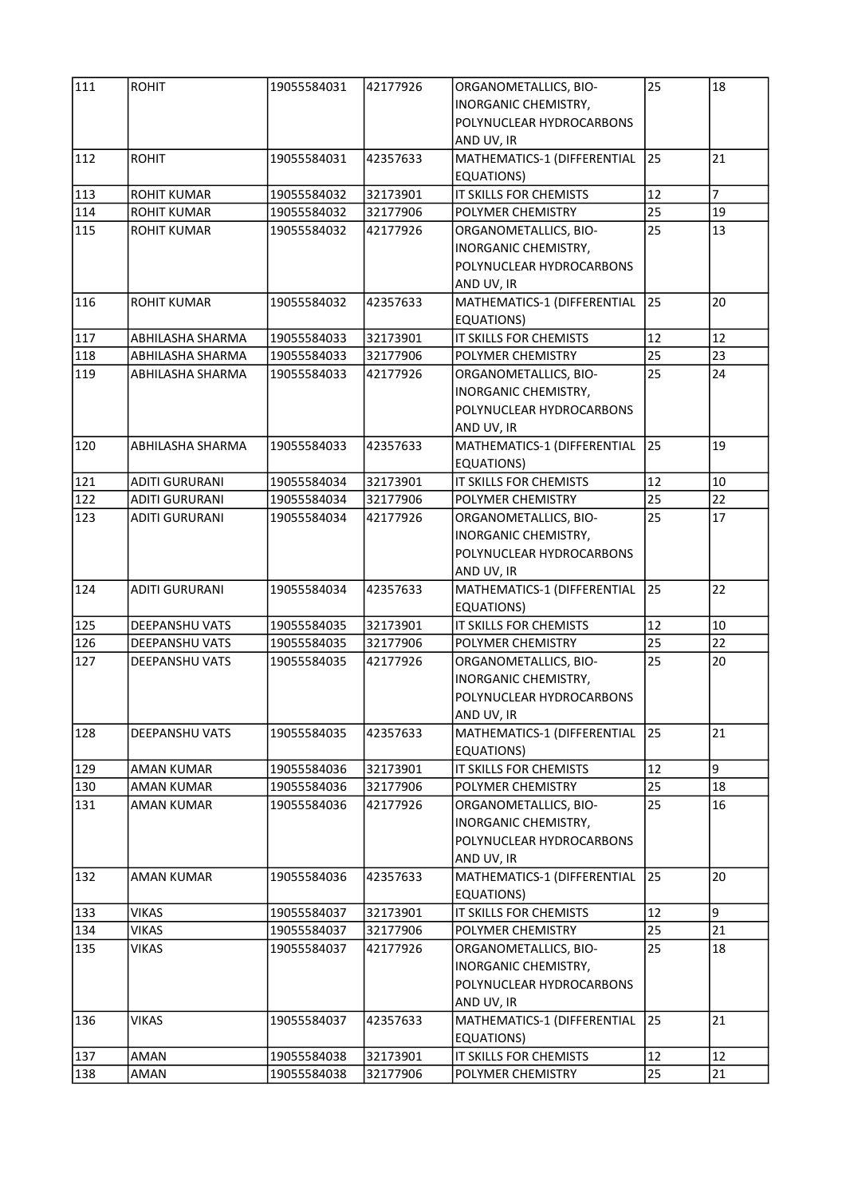| 111 | <b>ROHIT</b>          | 19055584031 | 42177926 | ORGANOMETALLICS, BIO-<br>INORGANIC CHEMISTRY,<br>POLYNUCLEAR HYDROCARBONS<br>AND UV, IR        | 25 | 18             |
|-----|-----------------------|-------------|----------|------------------------------------------------------------------------------------------------|----|----------------|
| 112 | <b>ROHIT</b>          | 19055584031 | 42357633 | MATHEMATICS-1 (DIFFERENTIAL<br>EQUATIONS)                                                      | 25 | 21             |
| 113 | <b>ROHIT KUMAR</b>    | 19055584032 | 32173901 | IT SKILLS FOR CHEMISTS                                                                         | 12 | $\overline{7}$ |
| 114 | <b>ROHIT KUMAR</b>    | 19055584032 | 32177906 | POLYMER CHEMISTRY                                                                              | 25 | 19             |
| 115 | <b>ROHIT KUMAR</b>    | 19055584032 | 42177926 | ORGANOMETALLICS, BIO-<br>INORGANIC CHEMISTRY,<br>POLYNUCLEAR HYDROCARBONS<br>AND UV, IR        | 25 | 13             |
| 116 | <b>ROHIT KUMAR</b>    | 19055584032 | 42357633 | MATHEMATICS-1 (DIFFERENTIAL<br>EQUATIONS)                                                      | 25 | 20             |
| 117 | ABHILASHA SHARMA      | 19055584033 | 32173901 | IT SKILLS FOR CHEMISTS                                                                         | 12 | 12             |
| 118 | ABHILASHA SHARMA      | 19055584033 | 32177906 | POLYMER CHEMISTRY                                                                              | 25 | 23             |
| 119 | ABHILASHA SHARMA      | 19055584033 | 42177926 | ORGANOMETALLICS, BIO-<br><b>INORGANIC CHEMISTRY,</b><br>POLYNUCLEAR HYDROCARBONS<br>AND UV, IR | 25 | 24             |
| 120 | ABHILASHA SHARMA      | 19055584033 | 42357633 | MATHEMATICS-1 (DIFFERENTIAL<br>EQUATIONS)                                                      | 25 | 19             |
| 121 | <b>ADITI GURURANI</b> | 19055584034 | 32173901 | IT SKILLS FOR CHEMISTS                                                                         | 12 | 10             |
| 122 | <b>ADITI GURURANI</b> | 19055584034 | 32177906 | POLYMER CHEMISTRY                                                                              | 25 | 22             |
| 123 | <b>ADITI GURURANI</b> | 19055584034 | 42177926 | ORGANOMETALLICS, BIO-<br>INORGANIC CHEMISTRY,<br>POLYNUCLEAR HYDROCARBONS<br>AND UV, IR        | 25 | 17             |
| 124 | <b>ADITI GURURANI</b> | 19055584034 | 42357633 | MATHEMATICS-1 (DIFFERENTIAL<br><b>EQUATIONS)</b>                                               | 25 | 22             |
| 125 | <b>DEEPANSHU VATS</b> | 19055584035 | 32173901 | IT SKILLS FOR CHEMISTS                                                                         | 12 | 10             |
| 126 | <b>DEEPANSHU VATS</b> | 19055584035 | 32177906 | POLYMER CHEMISTRY                                                                              | 25 | 22             |
| 127 | <b>DEEPANSHU VATS</b> | 19055584035 | 42177926 | ORGANOMETALLICS, BIO-<br>INORGANIC CHEMISTRY,<br>POLYNUCLEAR HYDROCARBONS<br>AND UV, IR        | 25 | 20             |
| 128 | <b>DEEPANSHU VATS</b> | 19055584035 | 42357633 | MATHEMATICS-1 (DIFFERENTIAL<br>EQUATIONS)                                                      | 25 | 21             |
| 129 | <b>AMAN KUMAR</b>     | 19055584036 | 32173901 | IT SKILLS FOR CHEMISTS                                                                         | 12 | 9              |
| 130 | <b>AMAN KUMAR</b>     | 19055584036 | 32177906 | POLYMER CHEMISTRY                                                                              | 25 | 18             |
| 131 | <b>AMAN KUMAR</b>     | 19055584036 | 42177926 | ORGANOMETALLICS, BIO-<br>INORGANIC CHEMISTRY,<br>POLYNUCLEAR HYDROCARBONS<br>AND UV, IR        | 25 | 16             |
| 132 | <b>AMAN KUMAR</b>     | 19055584036 | 42357633 | MATHEMATICS-1 (DIFFERENTIAL<br>EQUATIONS)                                                      | 25 | 20             |
| 133 | VIKAS                 | 19055584037 | 32173901 | IT SKILLS FOR CHEMISTS                                                                         | 12 | 9              |
| 134 | VIKAS                 | 19055584037 | 32177906 | POLYMER CHEMISTRY                                                                              | 25 | 21             |
| 135 | <b>VIKAS</b>          | 19055584037 | 42177926 | ORGANOMETALLICS, BIO-<br>INORGANIC CHEMISTRY,<br>POLYNUCLEAR HYDROCARBONS<br>AND UV, IR        | 25 | 18             |
| 136 | <b>VIKAS</b>          | 19055584037 | 42357633 | MATHEMATICS-1 (DIFFERENTIAL<br>EQUATIONS)                                                      | 25 | 21             |
| 137 | AMAN                  | 19055584038 | 32173901 | IT SKILLS FOR CHEMISTS                                                                         | 12 | 12             |
| 138 | AMAN                  | 19055584038 | 32177906 | POLYMER CHEMISTRY                                                                              | 25 | 21             |